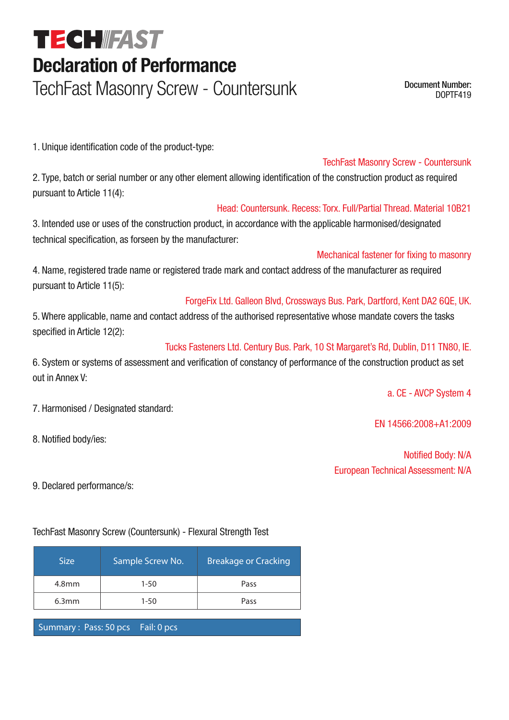# **TECHIFAST Declaration of Performance**

TechFast Masonry Screw - Countersunk Document Number:

DOPTF419

1. Unique identification code of the product-type:

#### TechFast Masonry Screw - Countersunk

2. Type, batch or serial number or any other element allowing identification of the construction product as required pursuant to Article 11(4):

#### Head: Countersunk. Recess: Torx. Full/Partial Thread. Material 10B21

3. Intended use or uses of the construction product, in accordance with the applicable harmonised/designated technical specification, as forseen by the manufacturer:

#### Mechanical fastener for fixing to masonry

4. Name, registered trade name or registered trade mark and contact address of the manufacturer as required pursuant to Article 11(5):

### ForgeFix Ltd. Galleon Blvd, Crossways Bus. Park, Dartford, Kent DA2 6QE, UK.

5. Where applicable, name and contact address of the authorised representative whose mandate covers the tasks specified in Article 12(2):

#### Tucks Fasteners Ltd. Century Bus. Park, 10 St Margaret's Rd, Dublin, D11 TN80, IE.

6. System or systems of assessment and verification of constancy of performance of the construction product as set out in Annex V:

a. CE - AVCP System 4

EN 14566:2008+A1:2009

Notified Body: N/A European Technical Assessment: N/A

9. Declared performance/s:

8. Notified body/ies:

7. Harmonised / Designated standard:

TechFast Masonry Screw (Countersunk) - Flexural Strength Test

| <b>Size</b>       | Sample Screw No. | <b>Breakage or Cracking</b> |
|-------------------|------------------|-----------------------------|
| 4.8 <sub>mm</sub> | $1 - 50$         | Pass                        |
| 6.3 <sub>mm</sub> | $1 - 50$         | Pass                        |
|                   |                  |                             |

Summary: Pass: 50 pcs Fail: 0 pcs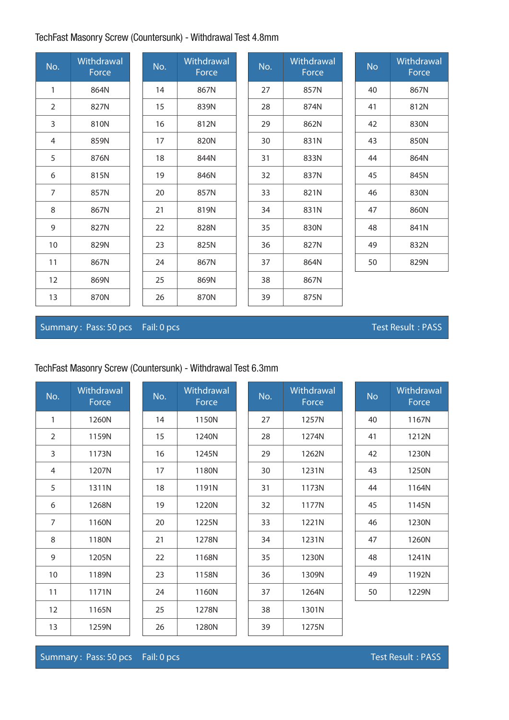# TechFast Masonry Screw (Countersunk) - Withdrawal Test 4.8mm

| No.            | <b>Withdrawal</b><br>Force | No. | Withdrawal<br>Force | No. | Withdrawal<br>Force | <b>No</b> | Withdrawal<br>Force |
|----------------|----------------------------|-----|---------------------|-----|---------------------|-----------|---------------------|
| 1              | 864N                       | 14  | 867N                | 27  | 857N                | 40        | 867N                |
| $\overline{2}$ | 827N                       | 15  | 839N                | 28  | 874N                | 41        | 812N                |
| 3              | 810N                       | 16  | 812N                | 29  | 862N                | 42        | 830N                |
| $\overline{4}$ | 859N                       | 17  | 820N                | 30  | 831N                | 43        | 850N                |
| 5              | 876N                       | 18  | 844N                | 31  | 833N                | 44        | 864N                |
| 6              | 815N                       | 19  | 846N                | 32  | 837N                | 45        | 845N                |
| $\overline{7}$ | 857N                       | 20  | 857N                | 33  | 821N                | 46        | 830N                |
| 8              | 867N                       | 21  | 819N                | 34  | 831N                | 47        | 860N                |
| 9              | 827N                       | 22  | 828N                | 35  | 830N                | 48        | 841N                |
| 10             | 829N                       | 23  | 825N                | 36  | 827N                | 49        | 832N                |
| 11             | 867N                       | 24  | 867N                | 37  | 864N                | 50        | 829N                |
| 12             | 869N                       | 25  | 869N                | 38  | 867N                |           |                     |
| 13             | 870N                       | 26  | 870N                | 39  | 875N                |           |                     |

## Summary : Pass: 50 pcs Fail: 0 pcs T est Result : PASS

## TechFast Masonry Screw (Countersunk) - Withdrawal Test 6.3mm

| No.            | Withdrawal<br>Force | No. | Withdrawal<br>Force | No. | Withdrawal<br>Force | <b>No</b> | Withdrawal<br>Force |
|----------------|---------------------|-----|---------------------|-----|---------------------|-----------|---------------------|
| 1              | 1260N               | 14  | 1150N               | 27  | 1257N               | 40        | 1167N               |
| $\overline{2}$ | 1159N               | 15  | 1240N               | 28  | 1274N               | 41        | 1212N               |
| 3              | 1173N               | 16  | 1245N               | 29  | 1262N               | 42        | 1230N               |
| $\overline{4}$ | 1207N               | 17  | 1180N               | 30  | 1231N               | 43        | 1250N               |
| 5              | 1311N               | 18  | 1191N               | 31  | 1173N               | 44        | 1164N               |
| 6              | 1268N               | 19  | 1220N               | 32  | 1177N               | 45        | 1145N               |
| $\overline{7}$ | 1160N               | 20  | 1225N               | 33  | 1221N               | 46        | 1230N               |
| 8              | 1180N               | 21  | 1278N               | 34  | 1231N               | 47        | 1260N               |
| 9              | 1205N               | 22  | 1168N               | 35  | 1230N               | 48        | 1241N               |
| 10             | 1189N               | 23  | 1158N               | 36  | 1309N               | 49        | 1192N               |
| 11             | 1171N               | 24  | 1160N               | 37  | 1264N               | 50        | 1229N               |
| 12             | 1165N               | 25  | 1278N               | 38  | 1301N               |           |                     |
| 13             | 1259N               | 26  | 1280N               | 39  | 1275N               |           |                     |

Summary : Pass: 50 pcs Fail: 0 pcs Test Result : PASS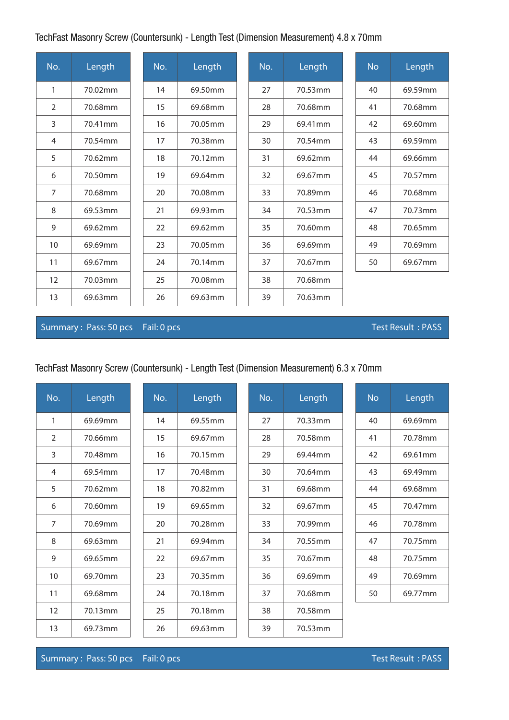## TechFast Masonry Screw (Countersunk) - Length Test (Dimension Measurement) 4.8 x 70mm

| No.            | Length  | No. | Length  | No. | Length  | <b>No</b> | Length  |
|----------------|---------|-----|---------|-----|---------|-----------|---------|
| $\mathbf{1}$   | 70.02mm | 14  | 69.50mm | 27  | 70.53mm | 40        | 69.59mm |
| 2              | 70.68mm | 15  | 69.68mm | 28  | 70.68mm | 41        | 70.68mm |
| 3              | 70.41mm | 16  | 70.05mm | 29  | 69.41mm | 42        | 69.60mm |
| $\overline{4}$ | 70.54mm | 17  | 70.38mm | 30  | 70.54mm | 43        | 69.59mm |
| 5              | 70.62mm | 18  | 70.12mm | 31  | 69.62mm | 44        | 69.66mm |
| 6              | 70.50mm | 19  | 69.64mm | 32  | 69.67mm | 45        | 70.57mm |
| $\overline{7}$ | 70.68mm | 20  | 70.08mm | 33  | 70.89mm | 46        | 70.68mm |
| 8              | 69.53mm | 21  | 69.93mm | 34  | 70.53mm | 47        | 70.73mm |
| 9              | 69.62mm | 22  | 69.62mm | 35  | 70.60mm | 48        | 70.65mm |
| 10             | 69.69mm | 23  | 70.05mm | 36  | 69.69mm | 49        | 70.69mm |
| 11             | 69.67mm | 24  | 70.14mm | 37  | 70.67mm | 50        | 69.67mm |
| 12             | 70.03mm | 25  | 70.08mm | 38  | 70.68mm |           |         |
| 13             | 69.63mm | 26  | 69.63mm | 39  | 70.63mm |           |         |

#### Summary : Pass: 50 pcs Fail: 0 pcs Test Result : PASS

# TechFast Masonry Screw (Countersunk) - Length Test (Dimension Measurement) 6.3 x 70mm

| No. | Length  | No. | Length  | No. | Length  | <b>No</b> | Length              |
|-----|---------|-----|---------|-----|---------|-----------|---------------------|
| 1   | 69.69mm | 14  | 69.55mm | 27  | 70.33mm | 40        | 69.69mm             |
| 2   | 70.66mm | 15  | 69.67mm | 28  | 70.58mm | 41        | 70.78mm             |
| 3   | 70.48mm | 16  | 70.15mm | 29  | 69.44mm | 42        | 69.61mm             |
| 4   | 69.54mm | 17  | 70.48mm | 30  | 70.64mm | 43        | 69.49mm             |
| 5   | 70.62mm | 18  | 70.82mm | 31  | 69.68mm | 44        | 69.68mm             |
| 6   | 70.60mm | 19  | 69.65mm | 32  | 69.67mm | 45        | 70.47 <sub>mm</sub> |
| 7   | 70.69mm | 20  | 70.28mm | 33  | 70.99mm | 46        | 70.78mm             |
| 8   | 69.63mm | 21  | 69.94mm | 34  | 70.55mm | 47        | 70.75mm             |
| 9   | 69.65mm | 22  | 69.67mm | 35  | 70.67mm | 48        | 70.75mm             |
| 10  | 69.70mm | 23  | 70.35mm | 36  | 69.69mm | 49        | 70.69mm             |
| 11  | 69.68mm | 24  | 70.18mm | 37  | 70.68mm | 50        | 69.77mm             |
| 12  | 70.13mm | 25  | 70.18mm | 38  | 70.58mm |           |                     |
| 13  | 69.73mm | 26  | 69.63mm | 39  | 70.53mm |           |                     |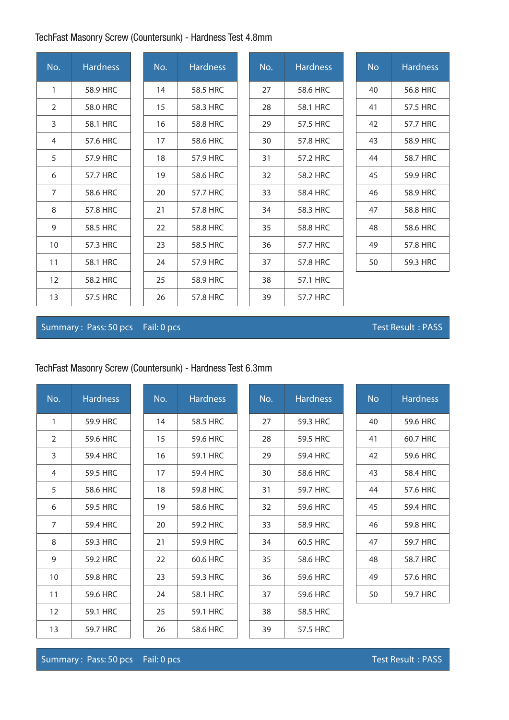# TechFast Masonry Screw (Countersunk) - Hardness Test 4.8mm

| No.            | <b>Hardness</b> | No. | <b>Hardness</b> | No. | <b>Hardness</b> | <b>No</b> | <b>Hardness</b> |
|----------------|-----------------|-----|-----------------|-----|-----------------|-----------|-----------------|
| 1              | 58.9 HRC        | 14  | 58.5 HRC        | 27  | 58.6 HRC        | 40        | 56.8 HRC        |
| 2              | 58.0 HRC        | 15  | 58.3 HRC        | 28  | 58.1 HRC        | 41        | 57.5 HRC        |
| 3              | 58.1 HRC        | 16  | 58.8 HRC        | 29  | 57.5 HRC        | 42        | 57.7 HRC        |
| $\overline{4}$ | 57.6 HRC        | 17  | 58.6 HRC        | 30  | 57.8 HRC        | 43        | 58.9 HRC        |
| 5              | 57.9 HRC        | 18  | 57.9 HRC        | 31  | 57.2 HRC        | 44        | 58.7 HRC        |
| 6              | 57.7 HRC        | 19  | 58.6 HRC        | 32  | 58.2 HRC        | 45        | 59.9 HRC        |
| $\overline{7}$ | 58.6 HRC        | 20  | 57.7 HRC        | 33  | 58.4 HRC        | 46        | 58.9 HRC        |
| 8              | 57.8 HRC        | 21  | 57.8 HRC        | 34  | 58.3 HRC        | 47        | 58.8 HRC        |
| 9              | 58.5 HRC        | 22  | 58.8 HRC        | 35  | 58.8 HRC        | 48        | 58.6 HRC        |
| 10             | 57.3 HRC        | 23  | 58.5 HRC        | 36  | 57.7 HRC        | 49        | 57.8 HRC        |
| 11             | 58.1 HRC        | 24  | 57.9 HRC        | 37  | 57.8 HRC        | 50        | 59.3 HRC        |
| 12             | 58.2 HRC        | 25  | 58.9 HRC        | 38  | 57.1 HRC        |           |                 |
| 13             | 57.5 HRC        | 26  | 57.8 HRC        | 39  | 57.7 HRC        |           |                 |

## Summary : Pass: 50 pcs Fail: 0 pcs Test Result : PASS

# TechFast Masonry Screw (Countersunk) - Hardness Test 6.3mm

| No.            | <b>Hardness</b> | No. | <b>Hardness</b> | No. | <b>Hardness</b> | <b>No</b> | <b>Hardness</b> |
|----------------|-----------------|-----|-----------------|-----|-----------------|-----------|-----------------|
| 1              | 59.9 HRC        | 14  | 58.5 HRC        | 27  | 59.3 HRC        | 40        | 59.6 HRC        |
| 2              | 59.6 HRC        | 15  | 59.6 HRC        | 28  | 59.5 HRC        | 41        | 60.7 HRC        |
| 3              | 59.4 HRC        | 16  | 59.1 HRC        | 29  | 59.4 HRC        | 42        | 59.6 HRC        |
| 4              | 59.5 HRC        | 17  | 59.4 HRC        | 30  | 58.6 HRC        | 43        | 58.4 HRC        |
| 5              | 58.6 HRC        | 18  | 59.8 HRC        | 31  | 59.7 HRC        | 44        | 57.6 HRC        |
| 6              | 59.5 HRC        | 19  | 58.6 HRC        | 32  | 59.6 HRC        | 45        | 59.4 HRC        |
| $\overline{7}$ | 59.4 HRC        | 20  | 59.2 HRC        | 33  | 58.9 HRC        | 46        | 59.8 HRC        |
| 8              | 59.3 HRC        | 21  | 59.9 HRC        | 34  | 60.5 HRC        | 47        | 59.7 HRC        |
| 9              | 59.2 HRC        | 22  | 60.6 HRC        | 35  | 58.6 HRC        | 48        | 58.7 HRC        |
| 10             | 59.8 HRC        | 23  | 59.3 HRC        | 36  | 59.6 HRC        | 49        | 57.6 HRC        |
| 11             | 59.6 HRC        | 24  | 58.1 HRC        | 37  | 59.6 HRC        | 50        | 59.7 HRC        |
| 12             | 59.1 HRC        | 25  | 59.1 HRC        | 38  | 58.5 HRC        |           |                 |
| 13             | 59.7 HRC        | 26  | 58.6 HRC        | 39  | 57.5 HRC        |           |                 |

Summary : Pass: 50 pcs Fail: 0 pcs Test Result : PASS